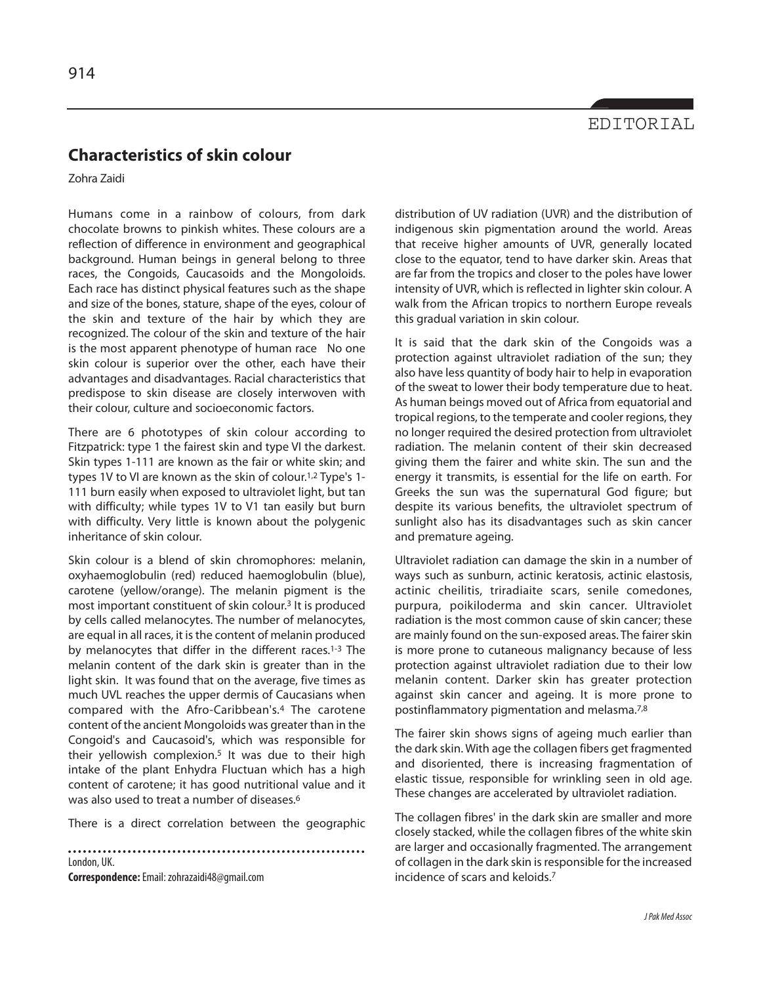## EDITORIAL

## **Characteristics of skin colour**

Zohra Zaidi

Humans come in a rainbow of colours, from dark chocolate browns to pinkish whites. These colours are a reflection of difference in environment and geographical background. Human beings in general belong to three races, the Congoids, Caucasoids and the Mongoloids. Each race has distinct physical features such as the shape and size of the bones, stature, shape of the eyes, colour of the skin and texture of the hair by which they are recognized. The colour of the skin and texture of the hair is the most apparent phenotype of human race No one skin colour is superior over the other, each have their advantages and disadvantages. Racial characteristics that predispose to skin disease are closely interwoven with their colour, culture and socioeconomic factors.

There are 6 phototypes of skin colour according to Fitzpatrick: type 1 the fairest skin and type VI the darkest. Skin types 1-111 are known as the fair or white skin; and types 1V to VI are known as the skin of colour. 1,2 Type's 1- 111 burn easily when exposed to ultraviolet light, but tan with difficulty; while types 1V to V1 tan easily but burn with difficulty. Very little is known about the polygenic inheritance of skin colour.

Skin colour is a blend of skin chromophores: melanin, oxyhaemoglobulin (red) reduced haemoglobulin (blue), carotene (yellow/orange). The melanin pigment is the most important constituent of skin colour. <sup>3</sup> It is produced by cells called melanocytes. The number of melanocytes, are equal in all races, it is the content of melanin produced by melanocytes that differ in the different races. 1-3 The melanin content of the dark skin is greater than in the light skin. It was found that on the average, five times as much UVL reaches the upper dermis of Caucasians when compared with the Afro-Caribbean's. <sup>4</sup> The carotene content of the ancient Mongoloids was greater than in the Congoid's and Caucasoid's, which was responsible for their yellowish complexion. <sup>5</sup> It was due to their high intake of the plant Enhydra Fluctuan which has a high content of carotene; it has good nutritional value and it was also used to treat a number of diseases. 6

There is a direct correlation between the geographic

London, UK.

**Correspondence:**Email: zohrazaidi48@gmail.com

distribution of UV radiation (UVR) and the distribution of indigenous skin pigmentation around the world. Areas that receive higher amounts of UVR, generally located close to the equator, tend to have darker skin. Areas that are far from the tropics and closer to the poles have lower intensity of UVR, which is reflected in lighter skin colour. A walk from the African tropics to northern Europe reveals this gradual variation in skin colour.

It is said that the dark skin of the Congoids was a protection against ultraviolet radiation of the sun; they also have less quantity of body hair to help in evaporation of the sweat to lower their body temperature due to heat. As human beings moved out of Africa from equatorial and tropical regions, to the temperate and cooler regions, they no longer required the desired protection from ultraviolet radiation. The melanin content of their skin decreased giving them the fairer and white skin. The sun and the energy it transmits, is essential for the life on earth. For Greeks the sun was the supernatural God figure; but despite its various benefits, the ultraviolet spectrum of sunlight also has its disadvantages such as skin cancer and premature ageing.

Ultraviolet radiation can damage the skin in a number of ways such as sunburn, actinic keratosis, actinic elastosis, actinic cheilitis, triradiaite scars, senile comedones, purpura, poikiloderma and skin cancer. Ultraviolet radiation is the most common cause of skin cancer; these are mainly found on the sun-exposed areas. The fairer skin is more prone to cutaneous malignancy because of less protection against ultraviolet radiation due to their low melanin content. Darker skin has greater protection against skin cancer and ageing. It is more prone to postinflammatory pigmentation and melasma. 7,8

The fairer skin shows signs of ageing much earlier than the dark skin. With age the collagen fibers get fragmented and disoriented, there is increasing fragmentation of elastic tissue, responsible for wrinkling seen in old age. These changes are accelerated by ultraviolet radiation.

The collagen fibres' in the dark skin are smaller and more closely stacked, while the collagen fibres of the white skin are larger and occasionally fragmented. The arrangement of collagen in the dark skin is responsible for the increased incidence of scars and keloids. 7